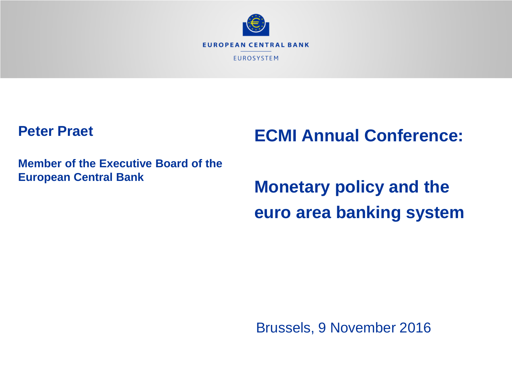

### **Peter Praet**

# **ECMI Annual Conference:**

**Member of the Executive Board of the European Central Bank**

**Monetary policy and the euro area banking system**

Brussels, 9 November 2016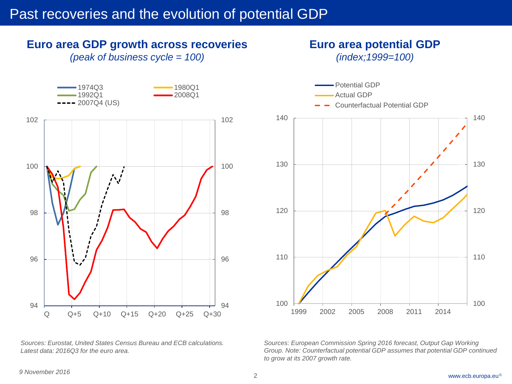### Past recoveries and the evolution of potential GDP

# *(peak of business cycle = 100)* 94 96 98 100 102 94 96 98 100 102 Q Q+5 Q+10 Q+15 Q+20 Q+25 Q+30 1974Q3 1980Q1 1992Q1 2008Q1  $--- 2007Q4 (US)$

**Euro area GDP growth across recoveries**





**Euro area potential GDP** *(index;1999=100)*

*Sources: European Commission Spring 2016 forecast, Output Gap Working Group. Note: Counterfactual potential GDP assumes that potential GDP continued to grow at its 2007 growth rate.*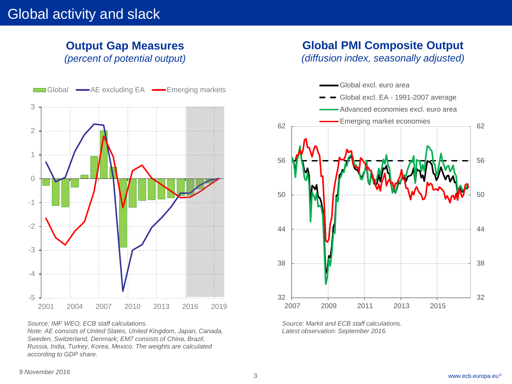#### **Output Gap Measures** *(percent of potential output)*

**Global PMI Composite Output**  *(diffusion index, seasonally adjusted)*



*Source: IMF WEO, ECB staff calculations. Note: AE consists of United States, United Kingdom, Japan, Canada, Sweden, Switzerland, Denmark; EM7 consists of China, Brazil, Russia, India, Turkey, Korea, Mexico. The weights are calculated according to GDP share.*



*Source: Markit and ECB staff calculations. Latest observation: September 2016.*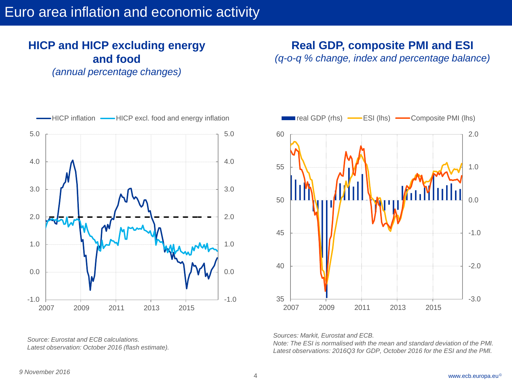## Euro area inflation and economic activity

### **HICP and HICP excluding energy and food**

*(annual percentage changes)*

**Real GDP, composite PMI and ESI** 

*(q-o-q % change, index and percentage balance)*



*Source: Eurostat and ECB calculations. Latest observation: October 2016 (flash estimate).*



*Sources: Markit, Eurostat and ECB.* 

*Note: The ESI is normalised with the mean and standard deviation of the PMI. Latest observations: 2016Q3 for GDP, October 2016 for the ESI and the PMI.*